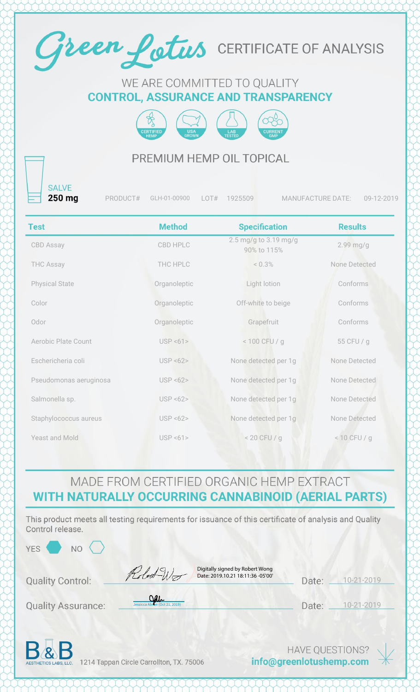

#### WE ARE COMMITTED TO QUALITY **CONTROL, ASSURANCE AND TRANSPARENCY**



#### PREMIUM HEMP OIL TOPICAL

**SALVE** 250 mg

PRODUCT# GLH-01-00900 LOT# 1925509 MANUFACTURE DATE: 09-12-2019

| <b>Test</b>                | <b>Method</b> | <b>Specification</b>                 | <b>Results</b> |
|----------------------------|---------------|--------------------------------------|----------------|
| CBD Assay                  | CBD HPLC      | 2.5 mg/g to 3.19 mg/g<br>90% to 115% | $2.99$ mg/g    |
| <b>THC Assay</b>           | THC HPLC      | $< 0.3\%$                            | None Detected  |
| <b>Physical State</b>      | Organoleptic  | Light lotion                         | Conforms       |
| Color                      | Organoleptic  | Off-white to beige                   | Conforms       |
| Odor                       | Organoleptic  | Grapefruit                           | Conforms       |
| <b>Aerobic Plate Count</b> | USP < 61      | $< 100$ CFU / g                      | 55 CFU / g     |
| Eschericheria coli         | USP < 62      | None detected per 1g                 | None Detected  |
| Pseudomonas aeruginosa     | USP < 62      | None detected per 1g                 | None Detected  |
| Salmonella sp.             | USP < 62      | None detected per 1g                 | None Detected  |
| Staphylococcus aureus      | USP < 62      | None detected per 1g                 | None Detected  |
| <b>Yeast and Mold</b>      | USP < 61      | $< 20$ CFU / g                       | $< 10$ CFU / g |

### MADE FROM CERTIFIED ORGANIC HEMP EXTRACT WITH NATURALLY OCCURRING CANNABINOID (AERIAL PARTS)

This product meets all testing requirements for issuance of this certificate of analysis and Quality Control release.

| YES \<br><b>NO</b>        |                                                                                     |                  |            |  |
|---------------------------|-------------------------------------------------------------------------------------|------------------|------------|--|
| <b>Quality Control:</b>   | Digitally signed by Robert Wong<br>Robert Word<br>Date: 2019.10.21 18:11:36 -05'00' | Date:            | 10-21-2019 |  |
| <b>Quality Assurance:</b> | age<br>Jessicca Abron (Oct 21, 2019)                                                | Date:            | 10-21-2019 |  |
| D                         |                                                                                     | HAVE OLIESTIONS? |            |  |

**DE ALCORE 1214 Tappan Circle Carrollton, TX. 75006** 

info@greenlotushemp.com